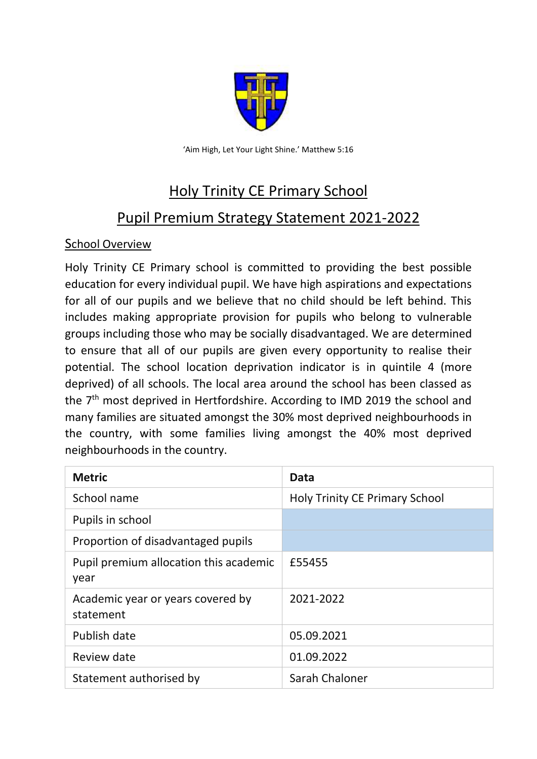

'Aim High, Let Your Light Shine.' Matthew 5:16

# Holy Trinity CE Primary School

# Pupil Premium Strategy Statement 2021-2022

#### School Overview

Holy Trinity CE Primary school is committed to providing the best possible education for every individual pupil. We have high aspirations and expectations for all of our pupils and we believe that no child should be left behind. This includes making appropriate provision for pupils who belong to vulnerable groups including those who may be socially disadvantaged. We are determined to ensure that all of our pupils are given every opportunity to realise their potential. The school location deprivation indicator is in quintile 4 (more deprived) of all schools. The local area around the school has been classed as the 7<sup>th</sup> most deprived in Hertfordshire. According to IMD 2019 the school and many families are situated amongst the 30% most deprived neighbourhoods in the country, with some families living amongst the 40% most deprived neighbourhoods in the country.

| <b>Metric</b>                                  | Data                                  |
|------------------------------------------------|---------------------------------------|
| School name                                    | <b>Holy Trinity CE Primary School</b> |
| Pupils in school                               |                                       |
| Proportion of disadvantaged pupils             |                                       |
| Pupil premium allocation this academic<br>year | £55455                                |
| Academic year or years covered by<br>statement | 2021-2022                             |
| Publish date                                   | 05.09.2021                            |
| Review date                                    | 01.09.2022                            |
| Statement authorised by                        | Sarah Chaloner                        |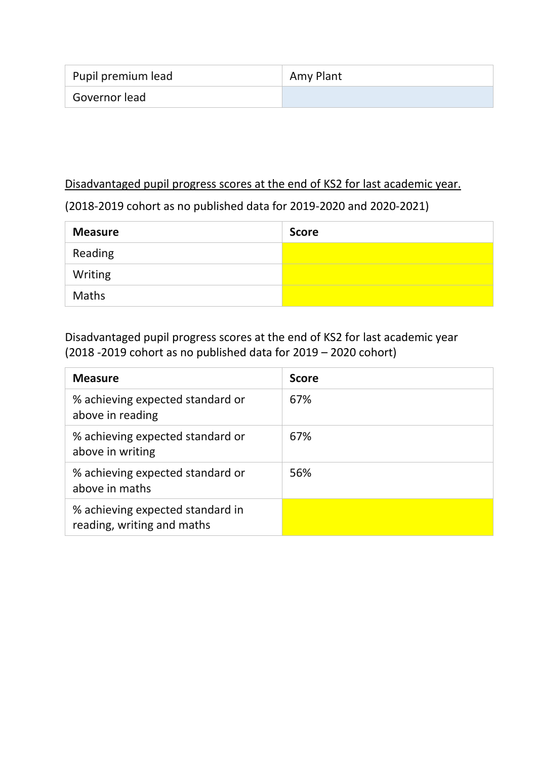| Pupil premium lead | <sup>'</sup> Amy Plant |
|--------------------|------------------------|
| Governor lead      |                        |

#### Disadvantaged pupil progress scores at the end of KS2 for last academic year.

### (2018-2019 cohort as no published data for 2019-2020 and 2020-2021)

| <b>Measure</b> | <b>Score</b> |
|----------------|--------------|
| Reading        |              |
| Writing        |              |
| Maths          |              |

Disadvantaged pupil progress scores at the end of KS2 for last academic year (2018 -2019 cohort as no published data for 2019 – 2020 cohort)

| <b>Measure</b>                                                 | <b>Score</b> |
|----------------------------------------------------------------|--------------|
| % achieving expected standard or<br>above in reading           | 67%          |
| % achieving expected standard or<br>above in writing           | 67%          |
| % achieving expected standard or<br>above in maths             | 56%          |
| % achieving expected standard in<br>reading, writing and maths |              |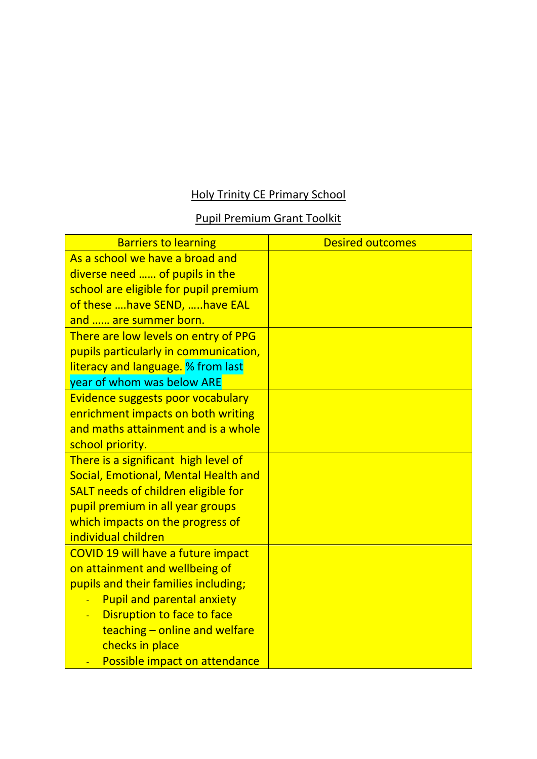## Holy Trinity CE Primary School

## Pupil Premium Grant Toolkit

| <b>Barriers to learning</b>           | <b>Desired outcomes</b> |
|---------------------------------------|-------------------------|
| As a school we have a broad and       |                         |
| diverse need  of pupils in the        |                         |
| school are eligible for pupil premium |                         |
| of these  have SEND,  have EAL        |                         |
| and  are summer born.                 |                         |
| There are low levels on entry of PPG  |                         |
| pupils particularly in communication, |                         |
| literacy and language. % from last    |                         |
| year of whom was below ARE            |                         |
| Evidence suggests poor vocabulary     |                         |
| enrichment impacts on both writing    |                         |
| and maths attainment and is a whole   |                         |
| school priority.                      |                         |
| There is a significant high level of  |                         |
| Social, Emotional, Mental Health and  |                         |
| SALT needs of children eligible for   |                         |
| pupil premium in all year groups      |                         |
| which impacts on the progress of      |                         |
| individual children                   |                         |
| COVID 19 will have a future impact    |                         |
| on attainment and wellbeing of        |                         |
| pupils and their families including;  |                         |
| <b>Pupil and parental anxiety</b>     |                         |
| Disruption to face to face            |                         |
| teaching $-$ online and welfare       |                         |
| checks in place                       |                         |
| Possible impact on attendance         |                         |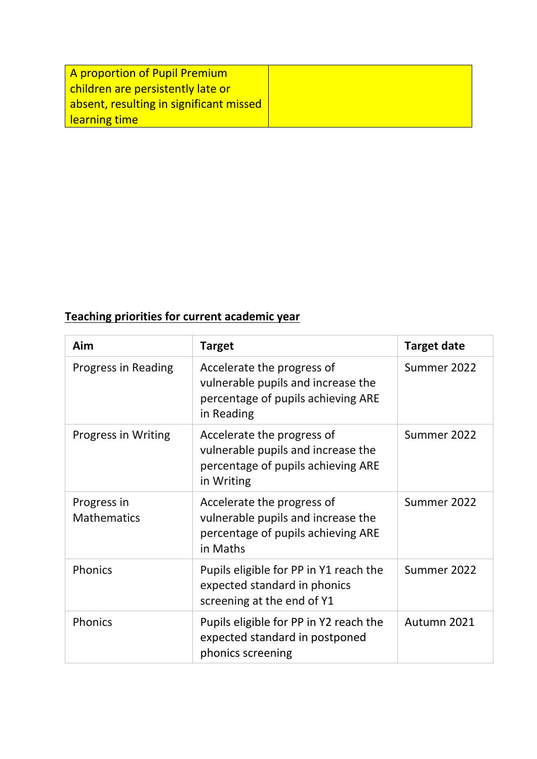| A proportion of Pupil Premium           |  |
|-----------------------------------------|--|
| children are persistently late or       |  |
| absent, resulting in significant missed |  |
| <b>learning time</b>                    |  |

## **Teaching priorities for current academic year**

| Aim                               | <b>Target</b>                                                                                                        | <b>Target date</b> |
|-----------------------------------|----------------------------------------------------------------------------------------------------------------------|--------------------|
| Progress in Reading               | Accelerate the progress of<br>vulnerable pupils and increase the<br>percentage of pupils achieving ARE<br>in Reading | Summer 2022        |
| <b>Progress in Writing</b>        | Accelerate the progress of<br>vulnerable pupils and increase the<br>percentage of pupils achieving ARE<br>in Writing | Summer 2022        |
| Progress in<br><b>Mathematics</b> | Accelerate the progress of<br>vulnerable pupils and increase the<br>percentage of pupils achieving ARE<br>in Maths   | Summer 2022        |
| Phonics                           | Pupils eligible for PP in Y1 reach the<br>expected standard in phonics<br>screening at the end of Y1                 | Summer 2022        |
| Phonics                           | Pupils eligible for PP in Y2 reach the<br>expected standard in postponed<br>phonics screening                        | Autumn 2021        |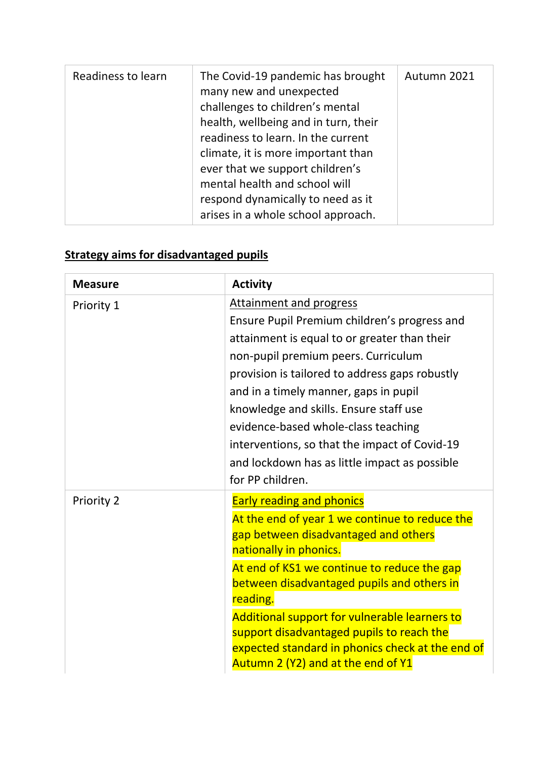| Readiness to learn | The Covid-19 pandemic has brought<br>many new and unexpected<br>challenges to children's mental<br>health, wellbeing and in turn, their<br>readiness to learn. In the current<br>climate, it is more important than<br>ever that we support children's<br>mental health and school will<br>respond dynamically to need as it<br>arises in a whole school approach. | Autumn 2021 |
|--------------------|--------------------------------------------------------------------------------------------------------------------------------------------------------------------------------------------------------------------------------------------------------------------------------------------------------------------------------------------------------------------|-------------|
|--------------------|--------------------------------------------------------------------------------------------------------------------------------------------------------------------------------------------------------------------------------------------------------------------------------------------------------------------------------------------------------------------|-------------|

# **Strategy aims for disadvantaged pupils**

| <b>Measure</b> | <b>Activity</b>                                                                                                                                                                                                                                                                                                                                                                                                                                                  |
|----------------|------------------------------------------------------------------------------------------------------------------------------------------------------------------------------------------------------------------------------------------------------------------------------------------------------------------------------------------------------------------------------------------------------------------------------------------------------------------|
| Priority 1     | Attainment and progress<br>Ensure Pupil Premium children's progress and<br>attainment is equal to or greater than their<br>non-pupil premium peers. Curriculum<br>provision is tailored to address gaps robustly<br>and in a timely manner, gaps in pupil<br>knowledge and skills. Ensure staff use<br>evidence-based whole-class teaching<br>interventions, so that the impact of Covid-19<br>and lockdown has as little impact as possible<br>for PP children. |
| Priority 2     | <b>Early reading and phonics</b><br>At the end of year 1 we continue to reduce the<br>gap between disadvantaged and others<br>nationally in phonics.<br>At end of KS1 we continue to reduce the gap<br>between disadvantaged pupils and others in<br>reading.<br>Additional support for vulnerable learners to<br>support disadvantaged pupils to reach the<br>expected standard in phonics check at the end of<br>Autumn 2 (Y2) and at the end of Y1            |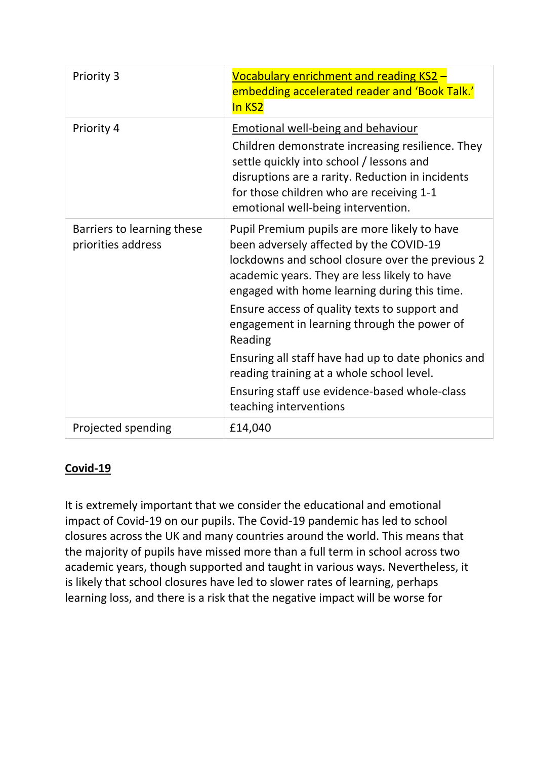| Priority 3                                       | Vocabulary enrichment and reading KS2 -<br>embedding accelerated reader and 'Book Talk.'<br>In KS2                                                                                                                                                                                                                                                                                                                                                                                                                                   |
|--------------------------------------------------|--------------------------------------------------------------------------------------------------------------------------------------------------------------------------------------------------------------------------------------------------------------------------------------------------------------------------------------------------------------------------------------------------------------------------------------------------------------------------------------------------------------------------------------|
| Priority 4                                       | <b>Emotional well-being and behaviour</b><br>Children demonstrate increasing resilience. They<br>settle quickly into school / lessons and<br>disruptions are a rarity. Reduction in incidents<br>for those children who are receiving 1-1<br>emotional well-being intervention.                                                                                                                                                                                                                                                      |
| Barriers to learning these<br>priorities address | Pupil Premium pupils are more likely to have<br>been adversely affected by the COVID-19<br>lockdowns and school closure over the previous 2<br>academic years. They are less likely to have<br>engaged with home learning during this time.<br>Ensure access of quality texts to support and<br>engagement in learning through the power of<br>Reading<br>Ensuring all staff have had up to date phonics and<br>reading training at a whole school level.<br>Ensuring staff use evidence-based whole-class<br>teaching interventions |
| Projected spending                               | £14,040                                                                                                                                                                                                                                                                                                                                                                                                                                                                                                                              |

#### **Covid-19**

It is extremely important that we consider the educational and emotional impact of Covid-19 on our pupils. The Covid-19 pandemic has led to school closures across the UK and many countries around the world. This means that the majority of pupils have missed more than a full term in school across two academic years, though supported and taught in various ways. Nevertheless, it is likely that school closures have led to slower rates of learning, perhaps learning loss, and there is a risk that the negative impact will be worse for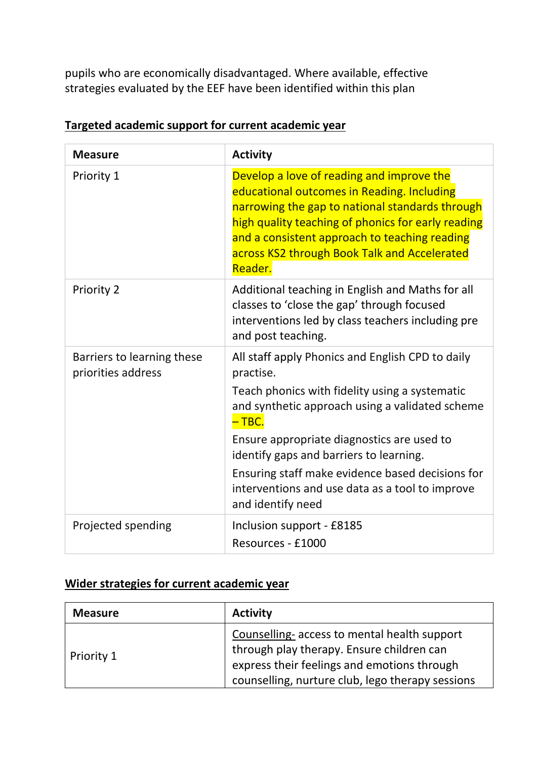pupils who are economically disadvantaged. Where available, effective strategies evaluated by the EEF have been identified within this plan

| <b>Measure</b>                                   | <b>Activity</b>                                                                                                                                                                                                                                                                                              |
|--------------------------------------------------|--------------------------------------------------------------------------------------------------------------------------------------------------------------------------------------------------------------------------------------------------------------------------------------------------------------|
| Priority 1                                       | Develop a love of reading and improve the<br>educational outcomes in Reading. Including<br>narrowing the gap to national standards through<br>high quality teaching of phonics for early reading<br>and a consistent approach to teaching reading<br>across KS2 through Book Talk and Accelerated<br>Reader. |
| Priority 2                                       | Additional teaching in English and Maths for all<br>classes to 'close the gap' through focused<br>interventions led by class teachers including pre<br>and post teaching.                                                                                                                                    |
| Barriers to learning these<br>priorities address | All staff apply Phonics and English CPD to daily<br>practise.<br>Teach phonics with fidelity using a systematic<br>and synthetic approach using a validated scheme<br>$-$ TBC.<br>Ensure appropriate diagnostics are used to                                                                                 |
|                                                  | identify gaps and barriers to learning.<br>Ensuring staff make evidence based decisions for<br>interventions and use data as a tool to improve<br>and identify need                                                                                                                                          |
| Projected spending                               | Inclusion support - £8185<br>Resources - £1000                                                                                                                                                                                                                                                               |

#### **Targeted academic support for current academic year**

### **Wider strategies for current academic year**

| <b>Measure</b> | <b>Activity</b>                                                                                                                                                                             |
|----------------|---------------------------------------------------------------------------------------------------------------------------------------------------------------------------------------------|
| Priority 1     | Counselling-access to mental health support<br>through play therapy. Ensure children can<br>express their feelings and emotions through<br>counselling, nurture club, lego therapy sessions |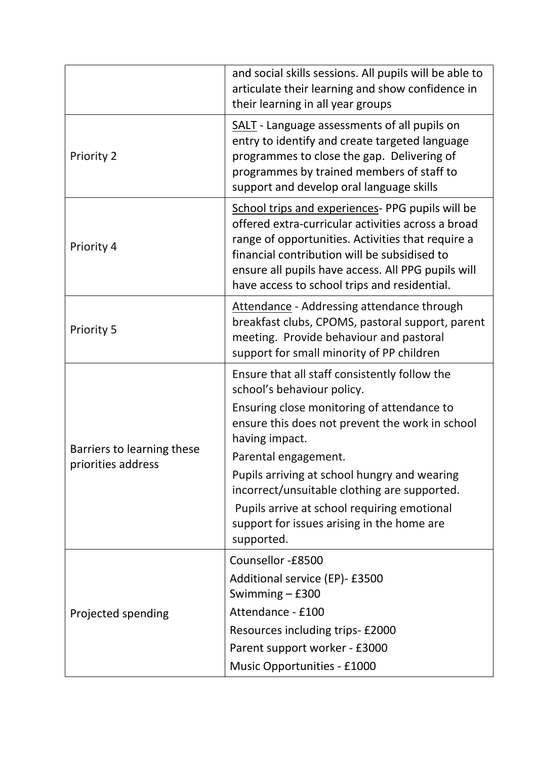|                                                  | and social skills sessions. All pupils will be able to<br>articulate their learning and show confidence in<br>their learning in all year groups                                                                                                                                                                                                                                                                                   |
|--------------------------------------------------|-----------------------------------------------------------------------------------------------------------------------------------------------------------------------------------------------------------------------------------------------------------------------------------------------------------------------------------------------------------------------------------------------------------------------------------|
| <b>Priority 2</b>                                | <b>SALT</b> - Language assessments of all pupils on<br>entry to identify and create targeted language<br>programmes to close the gap. Delivering of<br>programmes by trained members of staff to<br>support and develop oral language skills                                                                                                                                                                                      |
| Priority 4                                       | School trips and experiences- PPG pupils will be<br>offered extra-curricular activities across a broad<br>range of opportunities. Activities that require a<br>financial contribution will be subsidised to<br>ensure all pupils have access. All PPG pupils will<br>have access to school trips and residential.                                                                                                                 |
| <b>Priority 5</b>                                | Attendance - Addressing attendance through<br>breakfast clubs, CPOMS, pastoral support, parent<br>meeting. Provide behaviour and pastoral<br>support for small minority of PP children                                                                                                                                                                                                                                            |
| Barriers to learning these<br>priorities address | Ensure that all staff consistently follow the<br>school's behaviour policy.<br>Ensuring close monitoring of attendance to<br>ensure this does not prevent the work in school<br>having impact.<br>Parental engagement.<br>Pupils arriving at school hungry and wearing<br>incorrect/unsuitable clothing are supported.<br>Pupils arrive at school requiring emotional<br>support for issues arising in the home are<br>supported. |
| Projected spending                               | Counsellor -£8500<br>Additional service (EP)- £3500<br>Swimming $-$ £300<br>Attendance - £100<br>Resources including trips- £2000<br>Parent support worker - £3000<br>Music Opportunities - £1000                                                                                                                                                                                                                                 |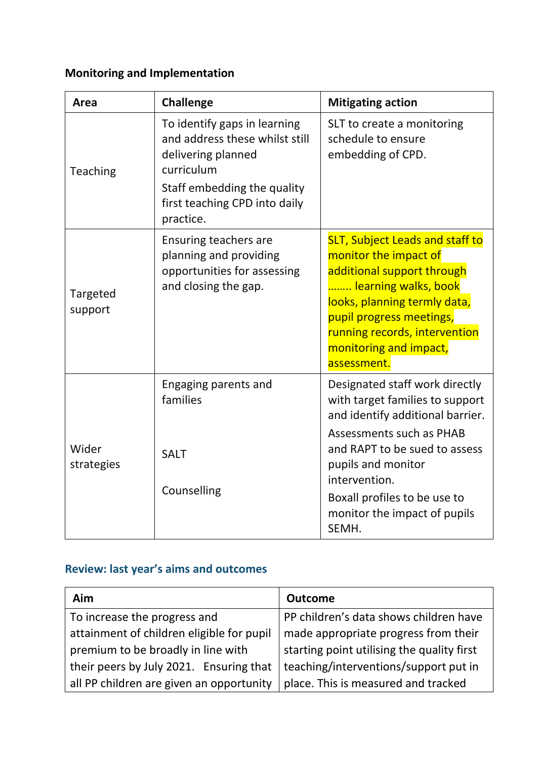## **Monitoring and Implementation**

| Area                | <b>Challenge</b>                                                                                                                                                                | <b>Mitigating action</b>                                                                                                                                                                                                                                                           |
|---------------------|---------------------------------------------------------------------------------------------------------------------------------------------------------------------------------|------------------------------------------------------------------------------------------------------------------------------------------------------------------------------------------------------------------------------------------------------------------------------------|
| <b>Teaching</b>     | To identify gaps in learning<br>and address these whilst still<br>delivering planned<br>curriculum<br>Staff embedding the quality<br>first teaching CPD into daily<br>practice. | SLT to create a monitoring<br>schedule to ensure<br>embedding of CPD.                                                                                                                                                                                                              |
| Targeted<br>support | <b>Ensuring teachers are</b><br>planning and providing<br>opportunities for assessing<br>and closing the gap.                                                                   | <b>SLT, Subject Leads and staff to</b><br>monitor the impact of<br>additional support through<br>learning walks, book<br>looks, planning termly data,<br>pupil progress meetings,<br>running records, intervention<br>monitoring and impact,<br>assessment.                        |
| Wider<br>strategies | Engaging parents and<br>families<br><b>SALT</b><br>Counselling                                                                                                                  | Designated staff work directly<br>with target families to support<br>and identify additional barrier.<br>Assessments such as PHAB<br>and RAPT to be sued to assess<br>pupils and monitor<br>intervention.<br>Boxall profiles to be use to<br>monitor the impact of pupils<br>SEMH. |

### **Review: last year's aims and outcomes**

| Aim                                       | <b>Outcome</b>                             |
|-------------------------------------------|--------------------------------------------|
| To increase the progress and              | PP children's data shows children have     |
| attainment of children eligible for pupil | made appropriate progress from their       |
| premium to be broadly in line with        | starting point utilising the quality first |
| their peers by July 2021. Ensuring that   | teaching/interventions/support put in      |
| all PP children are given an opportunity  | place. This is measured and tracked        |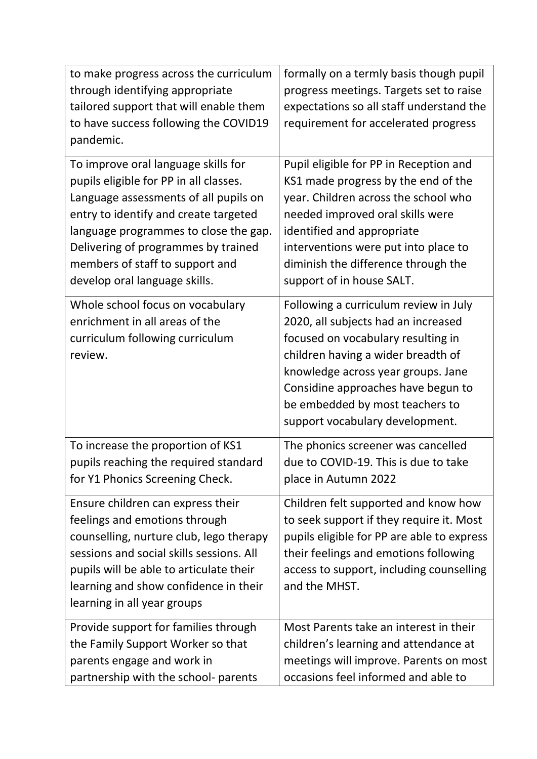| to make progress across the curriculum                                                                                                                                                                                                                                                                              | formally on a termly basis though pupil                                                                                                                                                                                                                                                                    |
|---------------------------------------------------------------------------------------------------------------------------------------------------------------------------------------------------------------------------------------------------------------------------------------------------------------------|------------------------------------------------------------------------------------------------------------------------------------------------------------------------------------------------------------------------------------------------------------------------------------------------------------|
| through identifying appropriate                                                                                                                                                                                                                                                                                     | progress meetings. Targets set to raise                                                                                                                                                                                                                                                                    |
| tailored support that will enable them                                                                                                                                                                                                                                                                              | expectations so all staff understand the                                                                                                                                                                                                                                                                   |
| to have success following the COVID19                                                                                                                                                                                                                                                                               | requirement for accelerated progress                                                                                                                                                                                                                                                                       |
| pandemic.                                                                                                                                                                                                                                                                                                           |                                                                                                                                                                                                                                                                                                            |
| To improve oral language skills for<br>pupils eligible for PP in all classes.<br>Language assessments of all pupils on<br>entry to identify and create targeted<br>language programmes to close the gap.<br>Delivering of programmes by trained<br>members of staff to support and<br>develop oral language skills. | Pupil eligible for PP in Reception and<br>KS1 made progress by the end of the<br>year. Children across the school who<br>needed improved oral skills were<br>identified and appropriate<br>interventions were put into place to<br>diminish the difference through the<br>support of in house SALT.        |
| Whole school focus on vocabulary<br>enrichment in all areas of the<br>curriculum following curriculum<br>review.                                                                                                                                                                                                    | Following a curriculum review in July<br>2020, all subjects had an increased<br>focused on vocabulary resulting in<br>children having a wider breadth of<br>knowledge across year groups. Jane<br>Considine approaches have begun to<br>be embedded by most teachers to<br>support vocabulary development. |
| To increase the proportion of KS1<br>pupils reaching the required standard<br>for Y1 Phonics Screening Check.                                                                                                                                                                                                       | The phonics screener was cancelled<br>due to COVID-19. This is due to take<br>place in Autumn 2022                                                                                                                                                                                                         |
| Ensure children can express their<br>feelings and emotions through<br>counselling, nurture club, lego therapy<br>sessions and social skills sessions. All<br>pupils will be able to articulate their<br>learning and show confidence in their<br>learning in all year groups                                        | Children felt supported and know how<br>to seek support if they require it. Most<br>pupils eligible for PP are able to express<br>their feelings and emotions following<br>access to support, including counselling<br>and the MHST.                                                                       |
| Provide support for families through<br>the Family Support Worker so that<br>parents engage and work in<br>partnership with the school- parents                                                                                                                                                                     | Most Parents take an interest in their<br>children's learning and attendance at<br>meetings will improve. Parents on most<br>occasions feel informed and able to                                                                                                                                           |